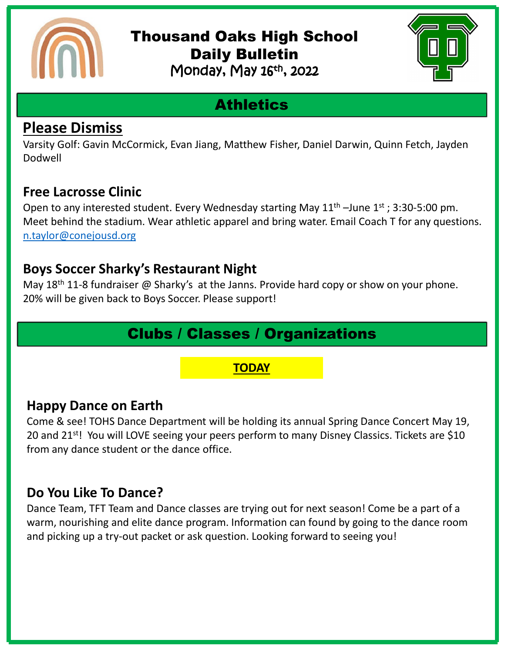

### Thousand Oaks High School Daily Bulletin Monday, May 16th, 2022



# **Athletics**

### **Please Dismiss**

Varsity Golf: Gavin McCormick, Evan Jiang, Matthew Fisher, Daniel Darwin, Quinn Fetch, Jayden Dodwell

### **Free Lacrosse Clinic**

Open to any interested student. Every Wednesday starting May  $11<sup>th</sup>$  –June  $1<sup>st</sup>$ ; 3:30-5:00 pm. Meet behind the stadium. Wear athletic apparel and bring water. Email Coach T for any questions. [n.taylor@conejousd.org](mailto:n.taylor@conejousd.org)

#### **Boys Soccer Sharky's Restaurant Night**

May 18<sup>th</sup> 11-8 fundraiser @ Sharky's at the Janns. Provide hard copy or show on your phone. 20% will be given back to Boys Soccer. Please support!

## Clubs / Classes / Organizations

#### **TODAY**

### **Happy Dance on Earth**

Come & see! TOHS Dance Department will be holding its annual Spring Dance Concert May 19, 20 and 21<sup>st</sup>! You will LOVE seeing your peers perform to many Disney Classics. Tickets are \$10 from any dance student or the dance office.

### **Do You Like To Dance?**

Dance Team, TFT Team and Dance classes are trying out for next season! Come be a part of a warm, nourishing and elite dance program. Information can found by going to the dance room and picking up a try-out packet or ask question. Looking forward to seeing you!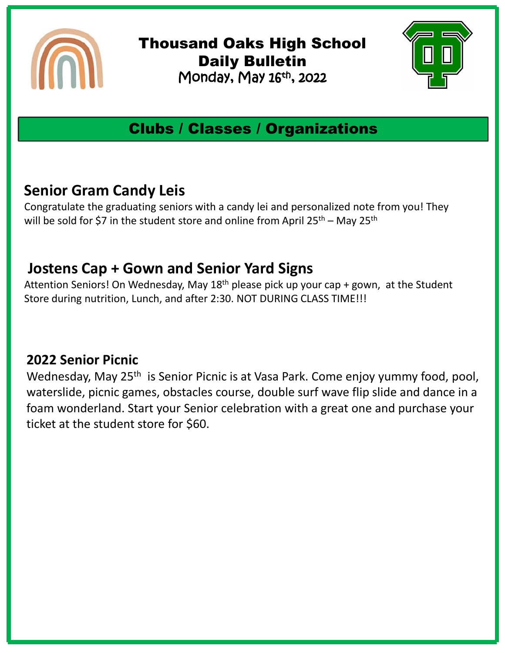

Thousand Oaks High School Daily Bulletin Monday, May 16th , 2022



# Clubs / Classes / Organizations

### **Senior Gram Candy Leis**

Congratulate the graduating seniors with a candy lei and personalized note from you! They will be sold for \$7 in the student store and online from April  $25^{th}$  – May  $25^{th}$ 

### **Jostens Cap + Gown and Senior Yard Signs**

Attention Seniors! On Wednesday, May  $18<sup>th</sup>$  please pick up your cap + gown, at the Student Store during nutrition, Lunch, and after 2:30. NOT DURING CLASS TIME!!!

#### **2022 Senior Picnic**

Wednesday, May 25<sup>th</sup> is Senior Picnic is at Vasa Park. Come enjoy yummy food, pool, waterslide, picnic games, obstacles course, double surf wave flip slide and dance in a foam wonderland. Start your Senior celebration with a great one and purchase your ticket at the student store for \$60.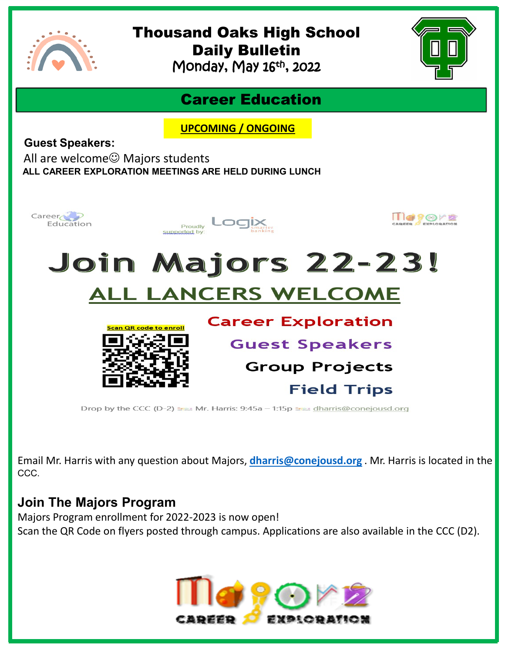

# Thousand Oaks High School Daily Bulletin

Monday, May 16th , 2022



### Career Education

**UPCOMING / ONGOING**

**Guest Speakers:**

All are welcome $\odot$  Majors students **ALL CAREER EXPLORATION MEETINGS ARE HELD DURING LUNCH** 



Email Mr. Harris with any question about Majors, **[dharris@conejousd.org](mailto:dharris@conejousd.org)** . Mr. Harris is located in the CCC.

#### **Join The Majors Program**

Majors Program enrollment for 2022-2023 is now open! Scan the QR Code on flyers posted through campus. Applications are also available in the CCC (D2).